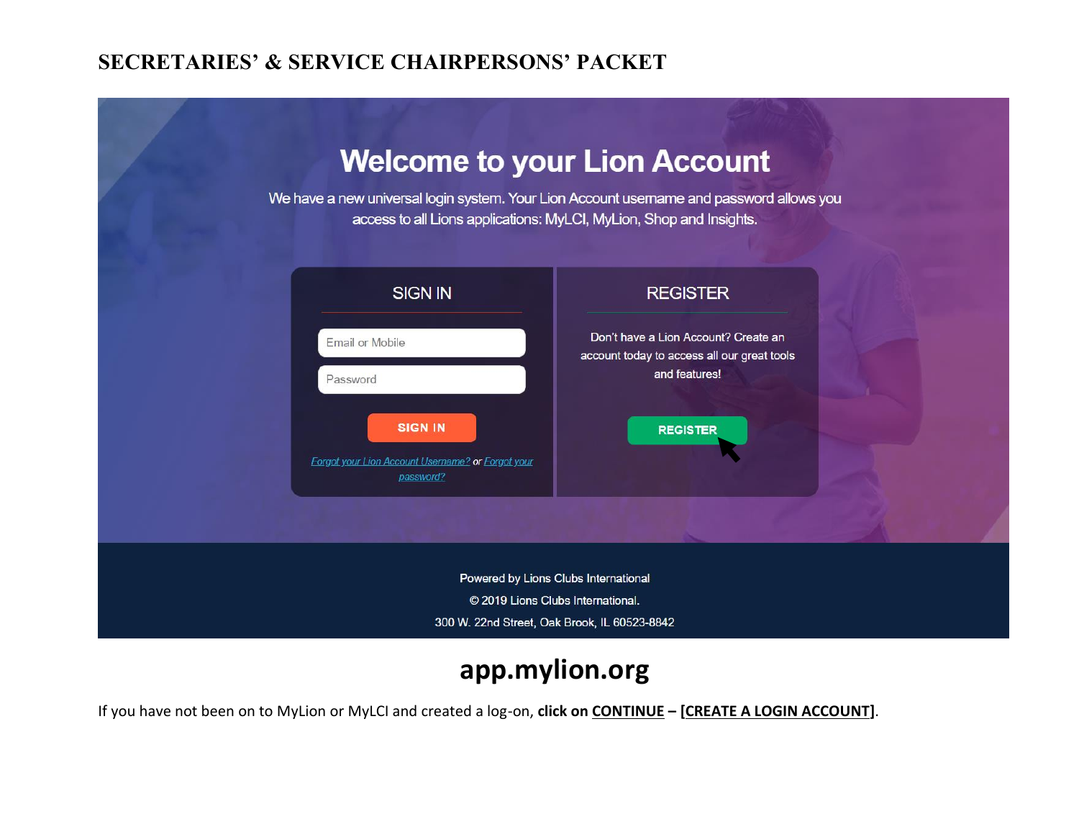

# **app.mylion.org**

If you have not been on to MyLion or MyLCI and created a log-on, **click on CONTINUE – [CREATE A LOGIN ACCOUNT]**.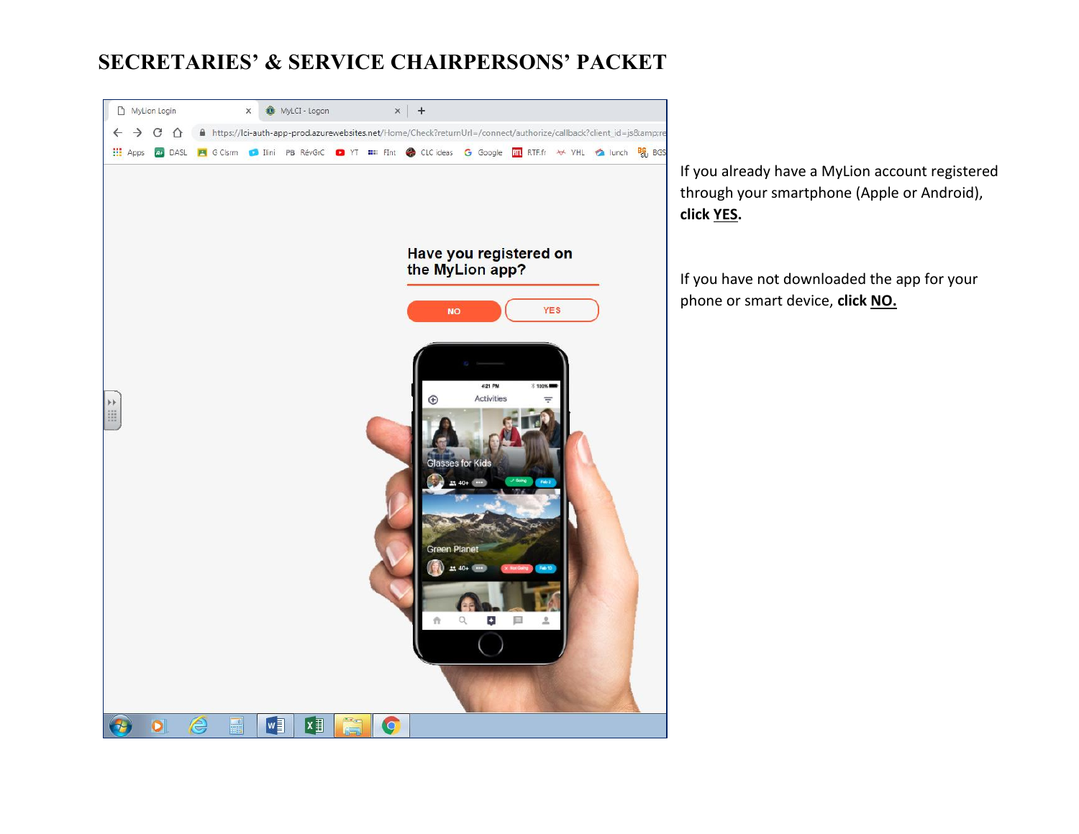

If you already have a MyLion account registered through your smartphone (Apple or Android), **click YES.**

If you have not downloaded the app for your phone or smart device, **click NO.**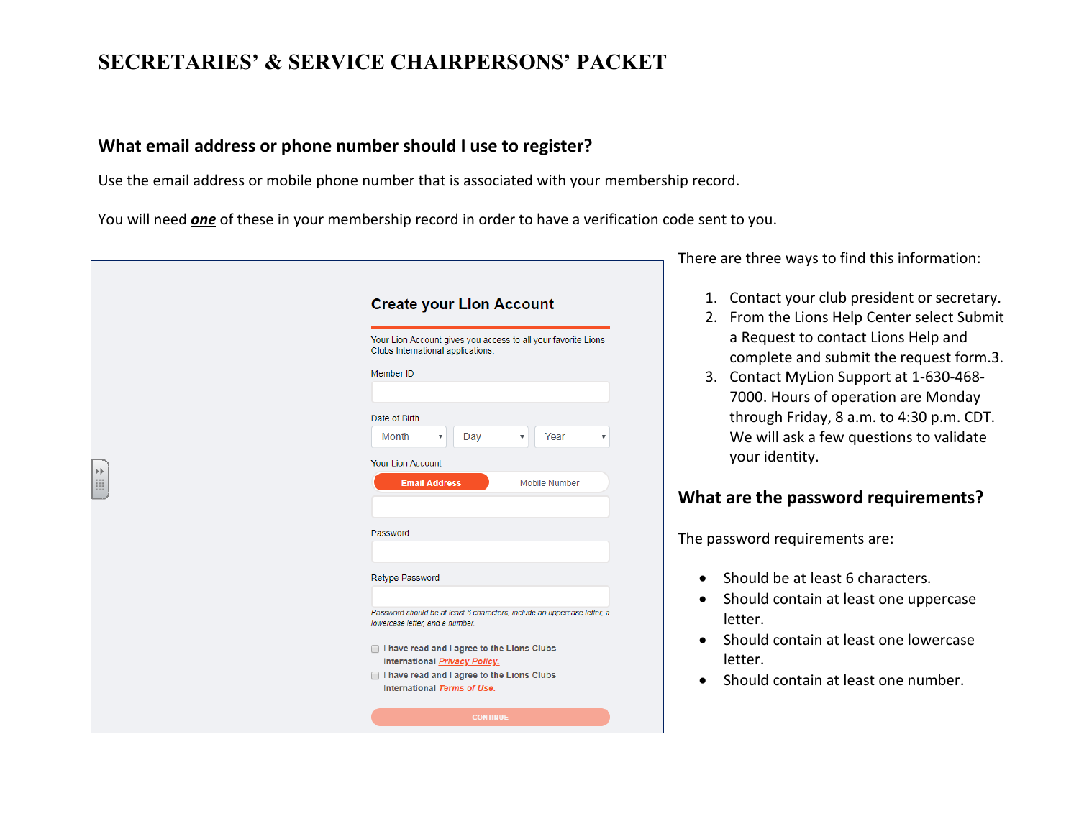#### **What email address or phone number should I use to register?**

Use the email address or mobile phone number that is associated with your membership record.

You will need *one* of these in your membership record in order to have a verification code sent to you.

|   |                                                                                                             | There ar       |
|---|-------------------------------------------------------------------------------------------------------------|----------------|
|   | <b>Create your Lion Account</b>                                                                             | 1. (<br>$2.$ I |
|   | Your Lion Account gives you access to all your favorite Lions<br>Clubs International applications.          |                |
|   | Member ID                                                                                                   | 3.             |
|   | Date of Birth                                                                                               |                |
|   | Month<br>Year<br>Day<br>$\overline{\mathbf{v}}$<br>$\boldsymbol{\mathrm{v}}$<br><b>Your Lion Account</b>    |                |
| E | <b>Email Address</b><br>Mobile Number                                                                       | What a         |
|   | Password                                                                                                    | The pass       |
|   | Retype Password                                                                                             | S              |
|   | Password should be at least 6 characters, include an uppercase letter, a<br>lowercase letter, and a number. | SI<br>le       |
|   | I have read and I agree to the Lions Clubs<br>International <b>Privacy Policy.</b>                          | SI<br>le       |
|   | I have read and I agree to the Lions Clubs<br>International Terms of Use.                                   | SI             |
|   | <b>CONTINUE</b>                                                                                             |                |

There are three ways to find this information:

- Contact your club president or secretary.
- From the Lions Help Center select Submit a Request to contact Lions Help and complete and submit the request form.3.
- 3. Contact MyLion Support at 1-630-468- 7000. Hours of operation are Monday through Friday, 8 a.m. to 4:30 p.m. CDT. We will ask a few questions to validate your identity.

### **Reference the password requirements?**

sword requirements are:

- hould be at least 6 characters.
- hould contain at least one uppercase letter.
- hould contain at least one lowercase etter.
- hould contain at least one number.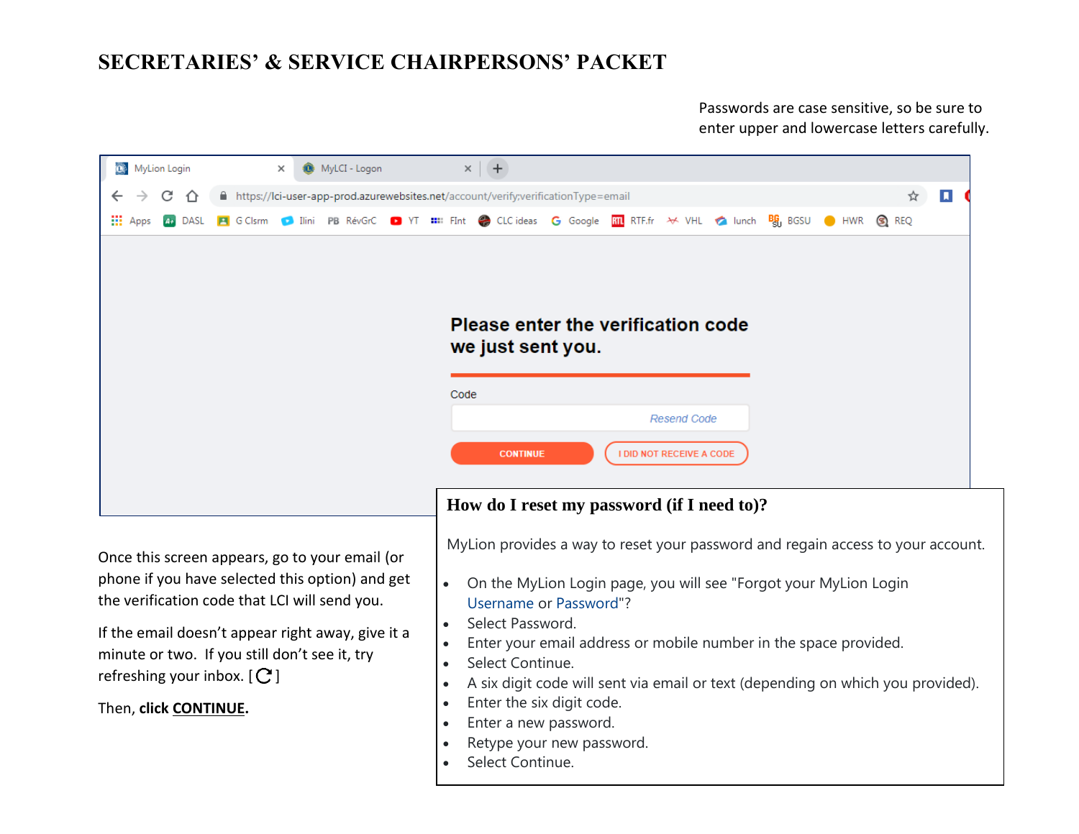Passwords are case sensitive, so be sure to enter upper and lowercase letters carefully.